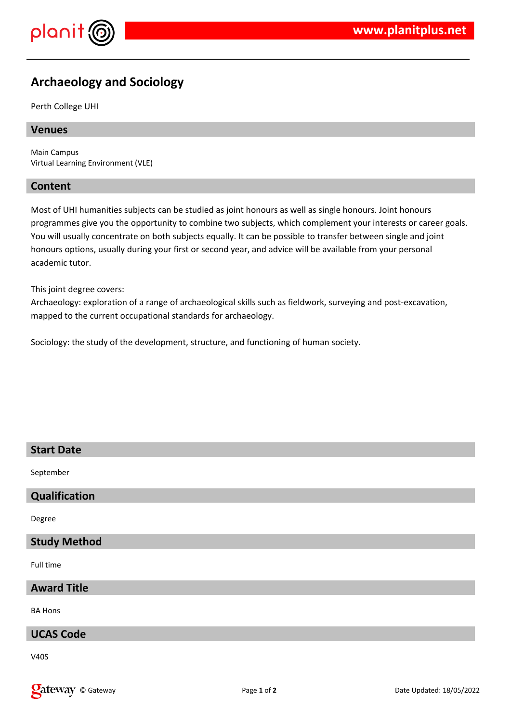

# **Archaeology and Sociology**

Perth College UHI

### **Venues**

Main Campus Virtual Learning Environment (VLE)

### **Content**

Most of UHI humanities subjects can be studied as joint honours as well as single honours. Joint honours programmes give you the opportunity to combine two subjects, which complement your interests or career goals. You will usually concentrate on both subjects equally. It can be possible to transfer between single and joint honours options, usually during your first or second year, and advice will be available from your personal academic tutor.

This joint degree covers:

Archaeology: exploration of a range of archaeological skills such as fieldwork, surveying and post-excavation, mapped to the current occupational standards for archaeology.

Sociology: the study of the development, structure, and functioning of human society.

| <b>Start Date</b>   |
|---------------------|
| September           |
| Qualification       |
| Degree              |
| <b>Study Method</b> |
| Full time           |
| <b>Award Title</b>  |
| <b>BA Hons</b>      |
| <b>UCAS Code</b>    |
| $\cdots$            |

V40S